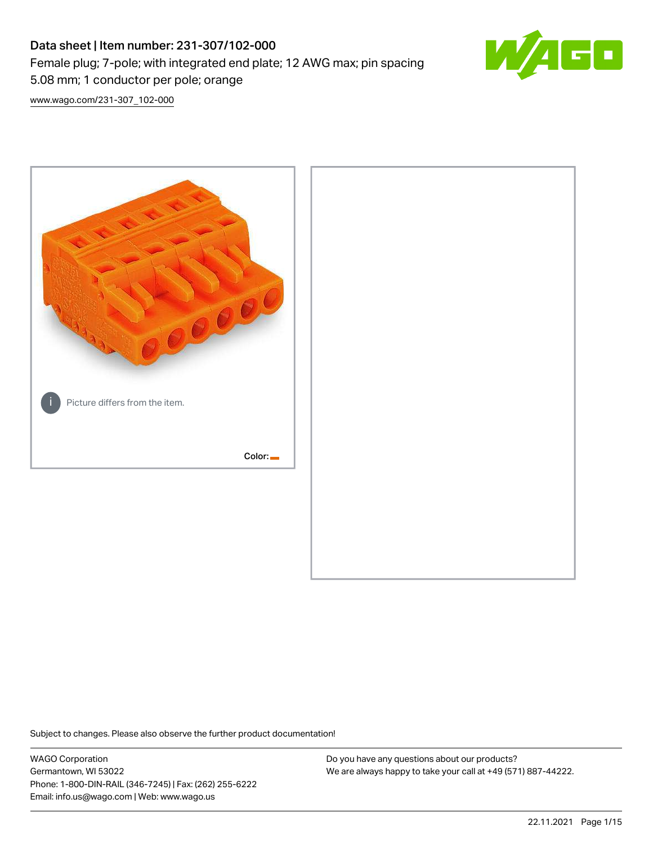# Data sheet | Item number: 231-307/102-000 Female plug; 7-pole; with integrated end plate; 12 AWG max; pin spacing 5.08 mm; 1 conductor per pole; orange



[www.wago.com/231-307\\_102-000](http://www.wago.com/231-307_102-000)



Subject to changes. Please also observe the further product documentation!

WAGO Corporation Germantown, WI 53022 Phone: 1-800-DIN-RAIL (346-7245) | Fax: (262) 255-6222 Email: info.us@wago.com | Web: www.wago.us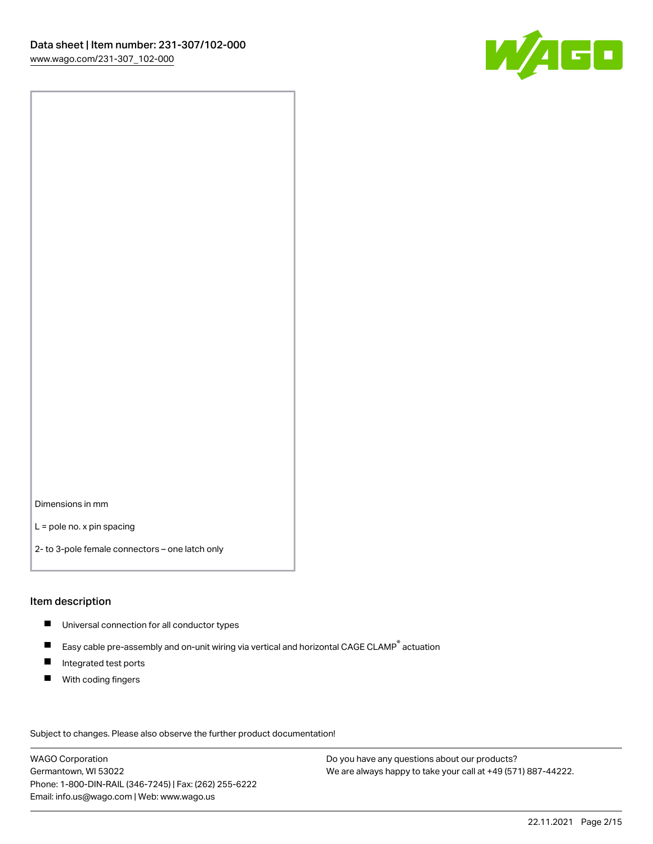

Dimensions in mm

L = pole no. x pin spacing

2- to 3-pole female connectors – one latch only

## Item description

- **Universal connection for all conductor types**
- Easy cable pre-assembly and on-unit wiring via vertical and horizontal CAGE CLAMP<sup>®</sup> actuation  $\blacksquare$
- $\blacksquare$ Integrated test ports
- $\blacksquare$ With coding fingers

Subject to changes. Please also observe the further product documentation! Data

WAGO Corporation Germantown, WI 53022 Phone: 1-800-DIN-RAIL (346-7245) | Fax: (262) 255-6222 Email: info.us@wago.com | Web: www.wago.us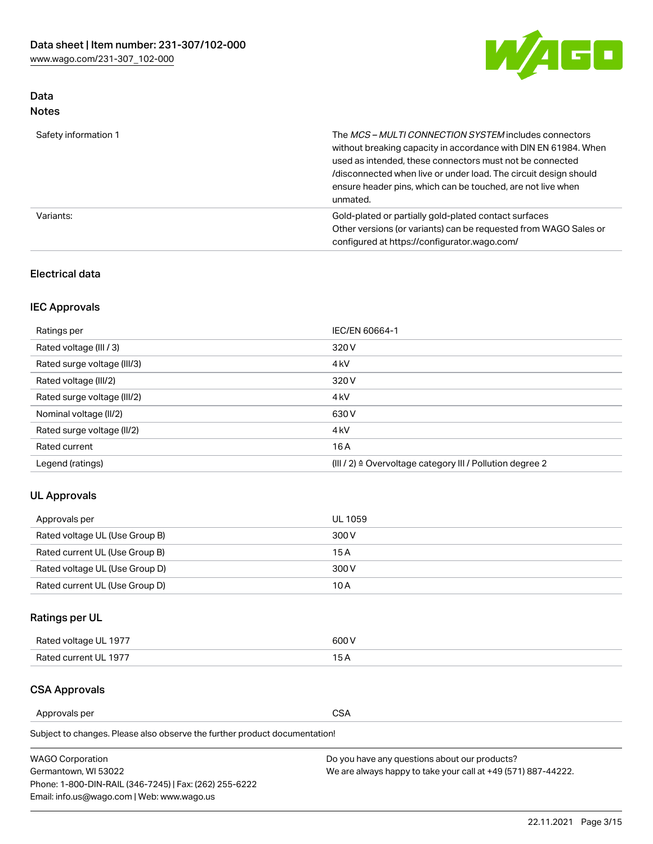

# Data Notes

| Safety information 1 | The MCS-MULTI CONNECTION SYSTEM includes connectors<br>without breaking capacity in accordance with DIN EN 61984. When<br>used as intended, these connectors must not be connected<br>/disconnected when live or under load. The circuit design should<br>ensure header pins, which can be touched, are not live when<br>unmated. |
|----------------------|-----------------------------------------------------------------------------------------------------------------------------------------------------------------------------------------------------------------------------------------------------------------------------------------------------------------------------------|
| Variants:            | Gold-plated or partially gold-plated contact surfaces<br>Other versions (or variants) can be requested from WAGO Sales or<br>configured at https://configurator.wago.com/                                                                                                                                                         |

# Electrical data

# IEC Approvals

| Ratings per                                                                               | IEC/EN 60664-1   |  |
|-------------------------------------------------------------------------------------------|------------------|--|
| Rated voltage (III / 3)                                                                   | 320 V            |  |
| Rated surge voltage (III/3)                                                               | 4 <sub>k</sub> V |  |
| 320 V<br>Rated voltage (III/2)                                                            |                  |  |
| 4 <sub>k</sub> V<br>Rated surge voltage (III/2)                                           |                  |  |
| Nominal voltage (II/2)<br>630 V                                                           |                  |  |
| Rated surge voltage (II/2)                                                                | 4 <sub>k</sub> V |  |
| Rated current                                                                             | 16A              |  |
| Legend (ratings)<br>$(III / 2)$ $\triangle$ Overvoltage category III / Pollution degree 2 |                  |  |

# UL Approvals

| Approvals per                  | UL 1059 |
|--------------------------------|---------|
| Rated voltage UL (Use Group B) | 300 V   |
| Rated current UL (Use Group B) | 15 A    |
| Rated voltage UL (Use Group D) | 300 V   |
| Rated current UL (Use Group D) | 10 A    |

# Ratings per UL

| Rated voltage UL 1977 | 300 V |
|-----------------------|-------|
| Rated current UL 1977 |       |

# CSA Approvals

Approvals per CSA

Subject to changes. Please also observe the further product documentation!

| <b>WAGO Corporation</b>                                | Do you have any questions about our products?                 |
|--------------------------------------------------------|---------------------------------------------------------------|
| Germantown, WI 53022                                   | We are always happy to take your call at +49 (571) 887-44222. |
| Phone: 1-800-DIN-RAIL (346-7245)   Fax: (262) 255-6222 |                                                               |
| Email: info.us@wago.com   Web: www.wago.us             |                                                               |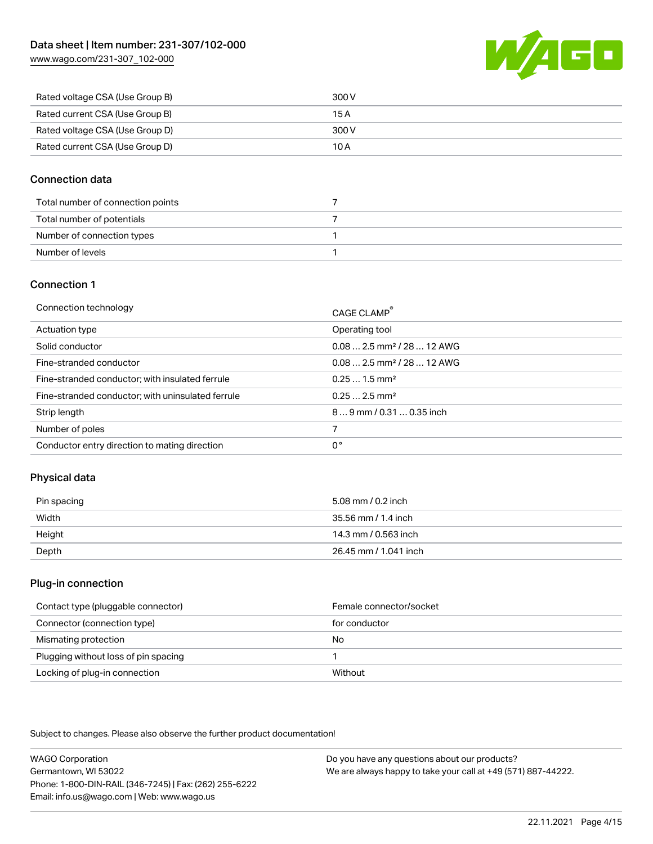[www.wago.com/231-307\\_102-000](http://www.wago.com/231-307_102-000)



| Rated voltage CSA (Use Group B) | 300 V |
|---------------------------------|-------|
| Rated current CSA (Use Group B) | 15 A  |
| Rated voltage CSA (Use Group D) | 300 V |
| Rated current CSA (Use Group D) | 10 A  |

# Connection data

| Total number of connection points |  |
|-----------------------------------|--|
| Total number of potentials        |  |
| Number of connection types        |  |
| Number of levels                  |  |

# Connection 1

| Connection technology                             | CAGE CLAMP®                             |
|---------------------------------------------------|-----------------------------------------|
| Actuation type                                    | Operating tool                          |
| Solid conductor                                   | $0.082.5$ mm <sup>2</sup> / 28  12 AWG  |
| Fine-stranded conductor                           | $0.08$ 2.5 mm <sup>2</sup> / 28  12 AWG |
| Fine-stranded conductor; with insulated ferrule   | $0.251.5$ mm <sup>2</sup>               |
| Fine-stranded conductor; with uninsulated ferrule | $0.252.5$ mm <sup>2</sup>               |
| Strip length                                      | $89$ mm $/ 0.310.35$ inch               |
| Number of poles                                   |                                         |
| Conductor entry direction to mating direction     | 0°                                      |

# Physical data

| Pin spacing | 5.08 mm / 0.2 inch    |
|-------------|-----------------------|
| Width       | 35.56 mm / 1.4 inch   |
| Height      | 14.3 mm / 0.563 inch  |
| Depth       | 26.45 mm / 1.041 inch |

## Plug-in connection

| Contact type (pluggable connector)   | Female connector/socket |
|--------------------------------------|-------------------------|
| Connector (connection type)          | for conductor           |
| Mismating protection                 | No                      |
| Plugging without loss of pin spacing |                         |
| Locking of plug-in connection        | Without                 |

Subject to changes. Please also observe the further product documentation!

WAGO Corporation Germantown, WI 53022 Phone: 1-800-DIN-RAIL (346-7245) | Fax: (262) 255-6222 Email: info.us@wago.com | Web: www.wago.us Do you have any questions about our products? We are always happy to take your call at +49 (571) 887-44222.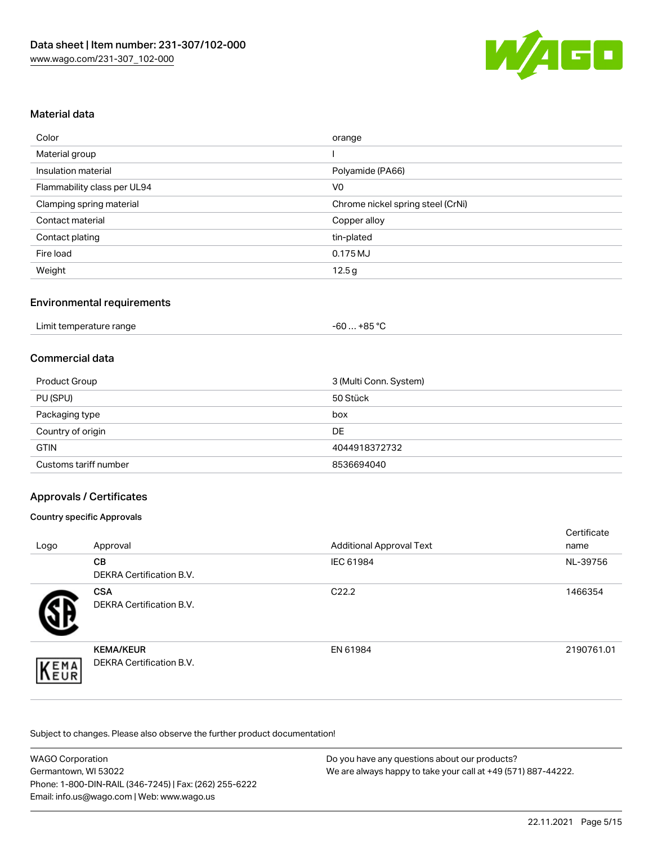

# Material data

| Color                       | orange                            |
|-----------------------------|-----------------------------------|
| Material group              |                                   |
| Insulation material         | Polyamide (PA66)                  |
| Flammability class per UL94 | V <sub>0</sub>                    |
| Clamping spring material    | Chrome nickel spring steel (CrNi) |
| Contact material            | Copper alloy                      |
| Contact plating             | tin-plated                        |
| Fire load                   | 0.175 MJ                          |
| Weight                      | 12.5g                             |

# Environmental requirements

| Limit temperature range | -60 … +85 °C |  |
|-------------------------|--------------|--|
|-------------------------|--------------|--|

## Commercial data

| Product Group         | 3 (Multi Conn. System) |
|-----------------------|------------------------|
| PU (SPU)              | 50 Stück               |
| Packaging type        | box                    |
| Country of origin     | DE                     |
| <b>GTIN</b>           | 4044918372732          |
| Customs tariff number | 8536694040             |

# Approvals / Certificates

#### Country specific Approvals

| Logo | Approval                                            | <b>Additional Approval Text</b> | Certificate<br>name |
|------|-----------------------------------------------------|---------------------------------|---------------------|
|      | <b>CB</b><br><b>DEKRA Certification B.V.</b>        | IEC 61984                       | NL-39756            |
|      | <b>CSA</b><br>DEKRA Certification B.V.              | C <sub>22.2</sub>               | 1466354             |
| EMA  | <b>KEMA/KEUR</b><br><b>DEKRA Certification B.V.</b> | EN 61984                        | 2190761.01          |

Subject to changes. Please also observe the further product documentation!

| <b>WAGO Corporation</b>                                | Do you have any questions about our products?                 |
|--------------------------------------------------------|---------------------------------------------------------------|
| Germantown, WI 53022                                   | We are always happy to take your call at +49 (571) 887-44222. |
| Phone: 1-800-DIN-RAIL (346-7245)   Fax: (262) 255-6222 |                                                               |
| Email: info.us@wago.com   Web: www.wago.us             |                                                               |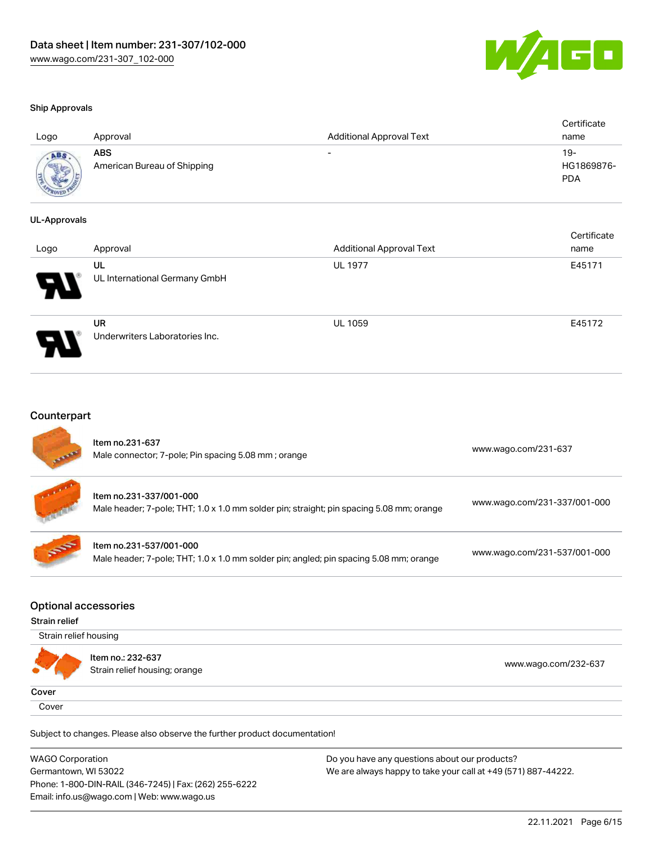

certificate in the contraction of the contraction of the contraction of the contraction of the contraction of <br>Certificate in the contraction of the contraction of the contraction of the contraction of the contraction of <br>

#### Ship Approvals

| Logo | Approval                                  | <b>Additional Approval Text</b> | Certificate<br>name             |
|------|-------------------------------------------|---------------------------------|---------------------------------|
|      | <b>ABS</b><br>American Bureau of Shipping | $\overline{\phantom{0}}$        | 19-<br>HG1869876-<br><b>PDA</b> |

#### UL-Approvals

| Logo | Approval                             | <b>Additional Approval Text</b> | Certificate<br>name |
|------|--------------------------------------|---------------------------------|---------------------|
| R    | UL<br>UL International Germany GmbH  | <b>UL 1977</b>                  | E45171              |
| I    | UR<br>Underwriters Laboratories Inc. | <b>UL 1059</b>                  | E45172              |

## **Counterpart**

| <b>STATE</b> | Item no.231-637<br>Male connector; 7-pole; Pin spacing 5.08 mm; orange                                              | www.wago.com/231-637         |
|--------------|---------------------------------------------------------------------------------------------------------------------|------------------------------|
|              | Item no.231-337/001-000<br>Male header; 7-pole; THT; 1.0 x 1.0 mm solder pin; straight; pin spacing 5.08 mm; orange | www.wago.com/231-337/001-000 |
| <b>SEPT</b>  | Item no.231-537/001-000<br>Male header; 7-pole; THT; 1.0 x 1.0 mm solder pin; angled; pin spacing 5.08 mm; orange   | www.wago.com/231-537/001-000 |

#### Optional accessories

#### Strain relief

|                | Strain relief housing                              |                      |  |  |
|----------------|----------------------------------------------------|----------------------|--|--|
| <b>COMPANY</b> | Item no.: 232-637<br>Strain relief housing; orange | www.wago.com/232-637 |  |  |
| Cover          |                                                    |                      |  |  |
| Cover          |                                                    |                      |  |  |

Subject to changes. Please also observe the further product documentation!

WAGO Corporation Germantown, WI 53022 Phone: 1-800-DIN-RAIL (346-7245) | Fax: (262) 255-6222 Email: info.us@wago.com | Web: www.wago.us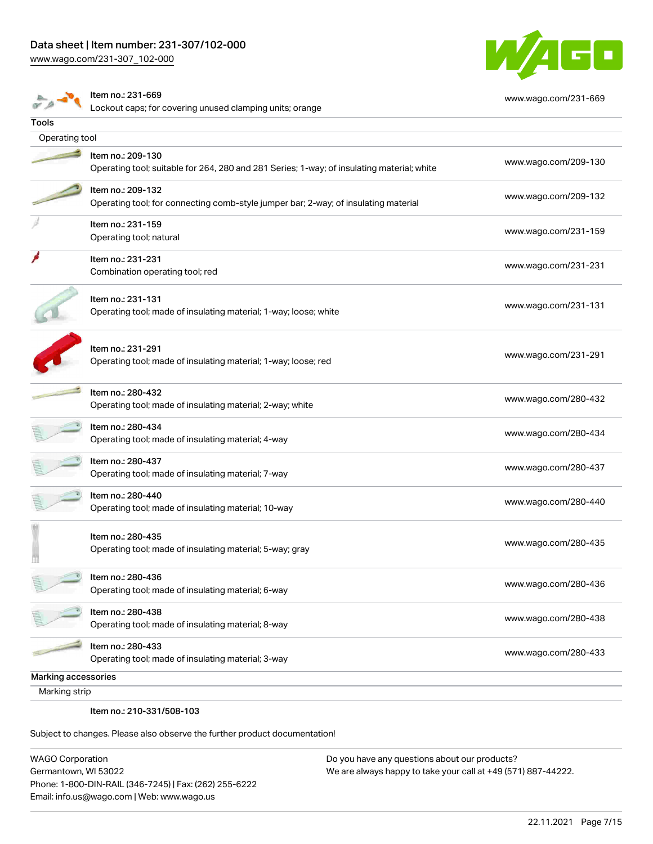# Data sheet | Item number: 231-307/102-000

[www.wago.com/231-307\\_102-000](http://www.wago.com/231-307_102-000)



[www.wago.com/231-669](http://www.wago.com/231-669)

 $\sigma$  p

Item no.: 231-669

Lockout caps; for covering unused clamping units; orange

| Tools               |                                                                                                                 |                      |
|---------------------|-----------------------------------------------------------------------------------------------------------------|----------------------|
| Operating tool      |                                                                                                                 |                      |
|                     | Item no.: 209-130<br>Operating tool; suitable for 264, 280 and 281 Series; 1-way; of insulating material; white | www.wago.com/209-130 |
|                     | Item no.: 209-132<br>Operating tool; for connecting comb-style jumper bar; 2-way; of insulating material        | www.wago.com/209-132 |
|                     | Item no.: 231-159<br>Operating tool; natural                                                                    | www.wago.com/231-159 |
|                     | Item no.: 231-231<br>Combination operating tool; red                                                            | www.wago.com/231-231 |
|                     | Item no.: 231-131<br>Operating tool; made of insulating material; 1-way; loose; white                           | www.wago.com/231-131 |
|                     | Item no.: 231-291<br>Operating tool; made of insulating material; 1-way; loose; red                             | www.wago.com/231-291 |
|                     | Item no.: 280-432<br>Operating tool; made of insulating material; 2-way; white                                  | www.wago.com/280-432 |
|                     | Item no.: 280-434<br>Operating tool; made of insulating material; 4-way                                         | www.wago.com/280-434 |
|                     | Item no.: 280-437<br>Operating tool; made of insulating material; 7-way                                         | www.wago.com/280-437 |
|                     | Item no.: 280-440<br>Operating tool; made of insulating material; 10-way                                        | www.wago.com/280-440 |
|                     | Item no.: 280-435<br>Operating tool; made of insulating material; 5-way; gray                                   | www.wago.com/280-435 |
|                     | Item no.: 280-436<br>Operating tool; made of insulating material; 6-way                                         | www.wago.com/280-436 |
|                     | Item no.: 280-438<br>Operating tool; made of insulating material; 8-way                                         | www.wago.com/280-438 |
|                     | Item no.: 280-433<br>Operating tool; made of insulating material; 3-way                                         | www.wago.com/280-433 |
| Marking accessories |                                                                                                                 |                      |
| Marking strip       |                                                                                                                 |                      |
|                     | Item no.: 210-331/508-103                                                                                       |                      |

Subject to changes. Please also observe the further product documentation!

WAGO Corporation Germantown, WI 53022 Phone: 1-800-DIN-RAIL (346-7245) | Fax: (262) 255-6222 Email: info.us@wago.com | Web: www.wago.us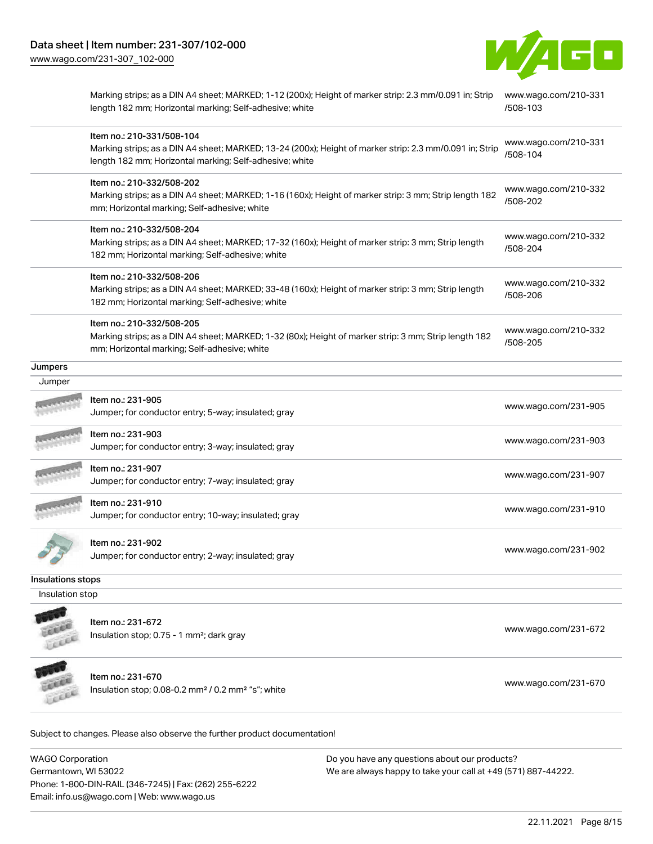

Marking strips; as a DIN A4 sheet; MARKED; 1-12 (200x); Height of marker strip: 2.3 mm/0.091 in; Strip [www.wago.com/210-331](http://www.wago.com/210-331/508-103) length 182 mm; Horizontal marking; Self-adhesive; white [/508-103](http://www.wago.com/210-331/508-103)

|                   | Item no.: 210-331/508-104                                                                                                                                          | www.wago.com/210-331             |
|-------------------|--------------------------------------------------------------------------------------------------------------------------------------------------------------------|----------------------------------|
|                   | Marking strips; as a DIN A4 sheet; MARKED; 13-24 (200x); Height of marker strip: 2.3 mm/0.091 in; Strip<br>length 182 mm; Horizontal marking; Self-adhesive; white | /508-104                         |
|                   | Item no.: 210-332/508-202                                                                                                                                          | www.wago.com/210-332             |
|                   | Marking strips; as a DIN A4 sheet; MARKED; 1-16 (160x); Height of marker strip: 3 mm; Strip length 182<br>mm; Horizontal marking; Self-adhesive; white             | /508-202                         |
|                   | Item no.: 210-332/508-204                                                                                                                                          | www.wago.com/210-332             |
|                   | Marking strips; as a DIN A4 sheet; MARKED; 17-32 (160x); Height of marker strip: 3 mm; Strip length<br>182 mm; Horizontal marking; Self-adhesive; white            | /508-204                         |
|                   | Item no.: 210-332/508-206                                                                                                                                          |                                  |
|                   | Marking strips; as a DIN A4 sheet; MARKED; 33-48 (160x); Height of marker strip: 3 mm; Strip length<br>182 mm; Horizontal marking; Self-adhesive; white            | www.wago.com/210-332<br>/508-206 |
|                   | Item no.: 210-332/508-205                                                                                                                                          |                                  |
|                   | Marking strips; as a DIN A4 sheet; MARKED; 1-32 (80x); Height of marker strip: 3 mm; Strip length 182<br>mm; Horizontal marking; Self-adhesive; white              | www.wago.com/210-332<br>/508-205 |
| Jumpers           |                                                                                                                                                                    |                                  |
| Jumper            |                                                                                                                                                                    |                                  |
|                   | Item no.: 231-905                                                                                                                                                  | www.wago.com/231-905             |
|                   | Jumper; for conductor entry; 5-way; insulated; gray                                                                                                                |                                  |
|                   | Item no.: 231-903<br>Jumper; for conductor entry; 3-way; insulated; gray                                                                                           | www.wago.com/231-903             |
|                   | Item no.: 231-907                                                                                                                                                  |                                  |
|                   | Jumper; for conductor entry; 7-way; insulated; gray                                                                                                                | www.wago.com/231-907             |
|                   | Item no.: 231-910                                                                                                                                                  |                                  |
|                   | Jumper; for conductor entry; 10-way; insulated; gray                                                                                                               | www.wago.com/231-910             |
|                   | Item no.: 231-902                                                                                                                                                  |                                  |
|                   | Jumper; for conductor entry; 2-way; insulated; gray                                                                                                                | www.wago.com/231-902             |
| Insulations stops |                                                                                                                                                                    |                                  |
| Insulation stop   |                                                                                                                                                                    |                                  |
|                   | Item no.: 231-672                                                                                                                                                  |                                  |
| Leece             | Insulation stop; 0.75 - 1 mm <sup>2</sup> ; dark gray                                                                                                              | www.wago.com/231-672             |
|                   | Item no.: 231-670                                                                                                                                                  | www.wago.com/231-670             |
|                   | Insulation stop; 0.08-0.2 mm <sup>2</sup> / 0.2 mm <sup>2</sup> "s"; white                                                                                         |                                  |
|                   |                                                                                                                                                                    |                                  |

Subject to changes. Please also observe the further product documentation!

WAGO Corporation Germantown, WI 53022 Phone: 1-800-DIN-RAIL (346-7245) | Fax: (262) 255-6222 Email: info.us@wago.com | Web: www.wago.us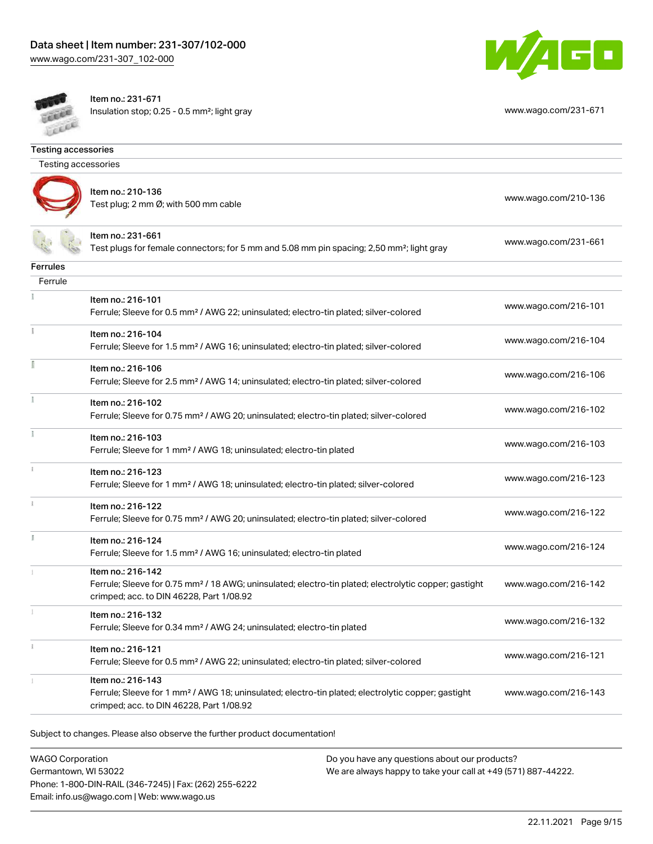



Item no.: 231-671 Insulation stop; 0.25 - 0.5 mm²; light gray [www.wago.com/231-671](http://www.wago.com/231-671)

| <b>Testing accessories</b> |                                                                                                                                                                                    |                      |
|----------------------------|------------------------------------------------------------------------------------------------------------------------------------------------------------------------------------|----------------------|
| Testing accessories        |                                                                                                                                                                                    |                      |
|                            | Item no.: 210-136<br>Test plug; 2 mm Ø; with 500 mm cable                                                                                                                          | www.wago.com/210-136 |
|                            | ltem no.: 231-661<br>Test plugs for female connectors; for 5 mm and 5.08 mm pin spacing; 2,50 mm²; light gray                                                                      | www.wago.com/231-661 |
| <b>Ferrules</b>            |                                                                                                                                                                                    |                      |
| Ferrule                    |                                                                                                                                                                                    |                      |
|                            | Item no.: 216-101<br>Ferrule; Sleeve for 0.5 mm <sup>2</sup> / AWG 22; uninsulated; electro-tin plated; silver-colored                                                             | www.wago.com/216-101 |
|                            | Item no.: 216-104<br>Ferrule; Sleeve for 1.5 mm <sup>2</sup> / AWG 16; uninsulated; electro-tin plated; silver-colored                                                             | www.wago.com/216-104 |
|                            | Item no.: 216-106<br>Ferrule; Sleeve for 2.5 mm <sup>2</sup> / AWG 14; uninsulated; electro-tin plated; silver-colored                                                             | www.wago.com/216-106 |
| ĭ.                         | Item no.: 216-102<br>Ferrule; Sleeve for 0.75 mm <sup>2</sup> / AWG 20; uninsulated; electro-tin plated; silver-colored                                                            | www.wago.com/216-102 |
|                            | Item no.: 216-103<br>Ferrule; Sleeve for 1 mm <sup>2</sup> / AWG 18; uninsulated; electro-tin plated                                                                               | www.wago.com/216-103 |
|                            | Item no.: 216-123<br>Ferrule; Sleeve for 1 mm <sup>2</sup> / AWG 18; uninsulated; electro-tin plated; silver-colored                                                               | www.wago.com/216-123 |
|                            | Item no.: 216-122<br>Ferrule; Sleeve for 0.75 mm <sup>2</sup> / AWG 20; uninsulated; electro-tin plated; silver-colored                                                            | www.wago.com/216-122 |
|                            | Item no.: 216-124<br>Ferrule; Sleeve for 1.5 mm <sup>2</sup> / AWG 16; uninsulated; electro-tin plated                                                                             | www.wago.com/216-124 |
|                            | Item no.: 216-142<br>Ferrule; Sleeve for 0.75 mm <sup>2</sup> / 18 AWG; uninsulated; electro-tin plated; electrolytic copper; gastight<br>crimped; acc. to DIN 46228, Part 1/08.92 | www.wago.com/216-142 |
|                            | Item no.: 216-132<br>Ferrule; Sleeve for 0.34 mm <sup>2</sup> / AWG 24; uninsulated; electro-tin plated                                                                            | www.wago.com/216-132 |
| $\ddot{\rm{1}}$            | Item no.: 216-121<br>Ferrule; Sleeve for 0.5 mm <sup>2</sup> / AWG 22; uninsulated; electro-tin plated; silver-colored                                                             | www.wago.com/216-121 |
|                            | Item no.: 216-143<br>Ferrule; Sleeve for 1 mm <sup>2</sup> / AWG 18; uninsulated; electro-tin plated; electrolytic copper; gastight<br>crimped; acc. to DIN 46228, Part 1/08.92    | www.wago.com/216-143 |
|                            |                                                                                                                                                                                    |                      |

Subject to changes. Please also observe the further product documentation!

WAGO Corporation Germantown, WI 53022 Phone: 1-800-DIN-RAIL (346-7245) | Fax: (262) 255-6222 Email: info.us@wago.com | Web: www.wago.us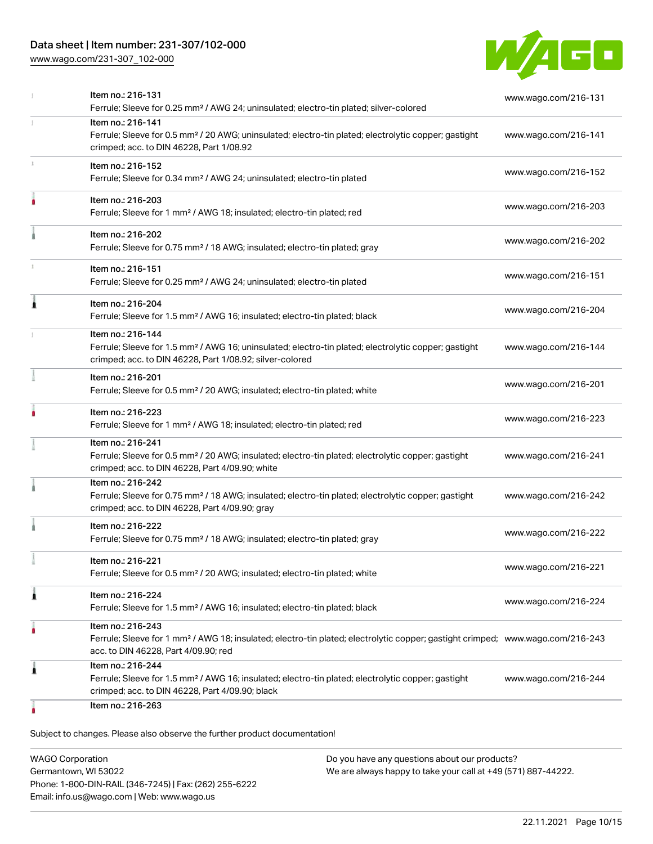# Data sheet | Item number: 231-307/102-000

[www.wago.com/231-307\\_102-000](http://www.wago.com/231-307_102-000)



|   | Item no.: 216-131                                                                                                                                                                                       | www.wago.com/216-131 |
|---|---------------------------------------------------------------------------------------------------------------------------------------------------------------------------------------------------------|----------------------|
|   | Ferrule; Sleeve for 0.25 mm <sup>2</sup> / AWG 24; uninsulated; electro-tin plated; silver-colored                                                                                                      |                      |
|   | Item no.: 216-141<br>Ferrule; Sleeve for 0.5 mm <sup>2</sup> / 20 AWG; uninsulated; electro-tin plated; electrolytic copper; gastight<br>crimped; acc. to DIN 46228, Part 1/08.92                       | www.wago.com/216-141 |
| 1 | Item no.: 216-152<br>Ferrule; Sleeve for 0.34 mm <sup>2</sup> / AWG 24; uninsulated; electro-tin plated                                                                                                 | www.wago.com/216-152 |
|   | Item no.: 216-203<br>Ferrule; Sleeve for 1 mm <sup>2</sup> / AWG 18; insulated; electro-tin plated; red                                                                                                 | www.wago.com/216-203 |
|   | Item no.: 216-202<br>Ferrule; Sleeve for 0.75 mm <sup>2</sup> / 18 AWG; insulated; electro-tin plated; gray                                                                                             | www.wago.com/216-202 |
|   | Item no.: 216-151<br>Ferrule; Sleeve for 0.25 mm <sup>2</sup> / AWG 24; uninsulated; electro-tin plated                                                                                                 | www.wago.com/216-151 |
| 1 | Item no.: 216-204<br>Ferrule; Sleeve for 1.5 mm <sup>2</sup> / AWG 16; insulated; electro-tin plated; black                                                                                             | www.wago.com/216-204 |
|   | Item no.: 216-144<br>Ferrule; Sleeve for 1.5 mm <sup>2</sup> / AWG 16; uninsulated; electro-tin plated; electrolytic copper; gastight<br>crimped; acc. to DIN 46228, Part 1/08.92; silver-colored       | www.wago.com/216-144 |
|   | Item no.: 216-201<br>Ferrule; Sleeve for 0.5 mm <sup>2</sup> / 20 AWG; insulated; electro-tin plated; white                                                                                             | www.wago.com/216-201 |
|   | Item no.: 216-223<br>Ferrule; Sleeve for 1 mm <sup>2</sup> / AWG 18; insulated; electro-tin plated; red                                                                                                 | www.wago.com/216-223 |
|   | Item no.: 216-241<br>Ferrule; Sleeve for 0.5 mm <sup>2</sup> / 20 AWG; insulated; electro-tin plated; electrolytic copper; gastight<br>crimped; acc. to DIN 46228, Part 4/09.90; white                  | www.wago.com/216-241 |
|   | Item no.: 216-242<br>Ferrule; Sleeve for 0.75 mm <sup>2</sup> / 18 AWG; insulated; electro-tin plated; electrolytic copper; gastight<br>crimped; acc. to DIN 46228, Part 4/09.90; gray                  | www.wago.com/216-242 |
|   | Item no.: 216-222<br>Ferrule; Sleeve for 0.75 mm <sup>2</sup> / 18 AWG; insulated; electro-tin plated; gray                                                                                             | www.wago.com/216-222 |
|   | Item no.: 216-221<br>Ferrule; Sleeve for 0.5 mm <sup>2</sup> / 20 AWG; insulated; electro-tin plated; white                                                                                             | www.wago.com/216-221 |
| 1 | Item no.: 216-224<br>Ferrule; Sleeve for 1.5 mm <sup>2</sup> / AWG 16; insulated; electro-tin plated; black                                                                                             | www.wago.com/216-224 |
| ٠ | Item no.: 216-243<br>Ferrule; Sleeve for 1 mm <sup>2</sup> / AWG 18; insulated; electro-tin plated; electrolytic copper; gastight crimped; www.wago.com/216-243<br>acc. to DIN 46228, Part 4/09.90; red |                      |
| 1 | Item no.: 216-244<br>Ferrule; Sleeve for 1.5 mm <sup>2</sup> / AWG 16; insulated; electro-tin plated; electrolytic copper; gastight<br>crimped; acc. to DIN 46228, Part 4/09.90; black                  | www.wago.com/216-244 |
|   | Item no.: 216-263                                                                                                                                                                                       |                      |

Subject to changes. Please also observe the further product documentation!

WAGO Corporation Germantown, WI 53022 Phone: 1-800-DIN-RAIL (346-7245) | Fax: (262) 255-6222 Email: info.us@wago.com | Web: www.wago.us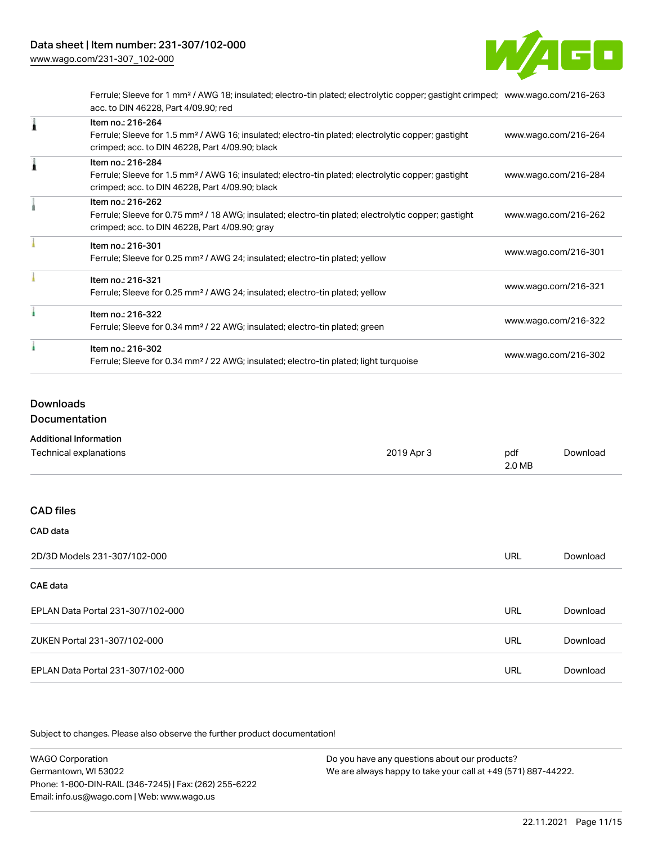

Ferrule; Sleeve for 1 mm² / AWG 18; insulated; electro-tin plated; electrolytic copper; gastight crimped; [www.wago.com/216-263](http://www.wago.com/216-263) acc. to DIN 46228, Part 4/09.90; red

| Item no.: 216-264<br>Ferrule; Sleeve for 1.5 mm <sup>2</sup> / AWG 16; insulated; electro-tin plated; electrolytic copper; gastight<br>crimped; acc. to DIN 46228, Part 4/09.90; black | www.wago.com/216-264 |
|----------------------------------------------------------------------------------------------------------------------------------------------------------------------------------------|----------------------|
| Item no.: 216-284<br>Ferrule; Sleeve for 1.5 mm <sup>2</sup> / AWG 16; insulated; electro-tin plated; electrolytic copper; gastight<br>crimped; acc. to DIN 46228, Part 4/09.90; black | www.wago.com/216-284 |
| Item no.: 216-262<br>Ferrule; Sleeve for 0.75 mm <sup>2</sup> / 18 AWG; insulated; electro-tin plated; electrolytic copper; gastight<br>crimped; acc. to DIN 46228, Part 4/09.90; gray | www.wago.com/216-262 |
| Item no.: 216-301<br>Ferrule; Sleeve for 0.25 mm <sup>2</sup> / AWG 24; insulated; electro-tin plated; yellow                                                                          | www.wago.com/216-301 |
| Item no.: 216-321<br>Ferrule; Sleeve for 0.25 mm <sup>2</sup> / AWG 24; insulated; electro-tin plated; yellow                                                                          | www.wago.com/216-321 |
| Item no.: 216-322<br>Ferrule; Sleeve for 0.34 mm <sup>2</sup> / 22 AWG; insulated; electro-tin plated; green                                                                           | www.wago.com/216-322 |
| Item no.: 216-302<br>Ferrule; Sleeve for 0.34 mm <sup>2</sup> / 22 AWG; insulated; electro-tin plated; light turquoise                                                                 | www.wago.com/216-302 |

# Downloads

Documentation

| <b>Additional Information</b>     |            |               |          |
|-----------------------------------|------------|---------------|----------|
| Technical explanations            | 2019 Apr 3 | pdf<br>2.0 MB | Download |
| <b>CAD files</b>                  |            |               |          |
| CAD data                          |            |               |          |
| 2D/3D Models 231-307/102-000      |            | URL           | Download |
| CAE data                          |            |               |          |
| EPLAN Data Portal 231-307/102-000 |            | URL           | Download |
| ZUKEN Portal 231-307/102-000      |            | URL           | Download |

EPLAN Data Portal 231-307/102-000 URL [Download](https://www.wago.com/global/d/EPLAN_URLS_231-307_102-000)

Subject to changes. Please also observe the further product documentation!

WAGO Corporation Germantown, WI 53022 Phone: 1-800-DIN-RAIL (346-7245) | Fax: (262) 255-6222 Email: info.us@wago.com | Web: www.wago.us Do you have any questions about our products? We are always happy to take your call at +49 (571) 887-44222.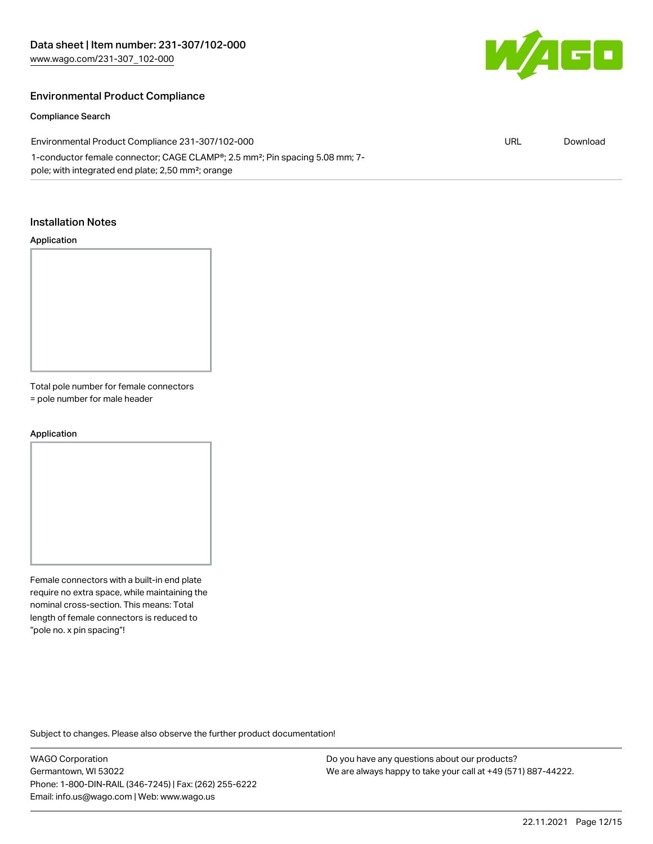

### Environmental Product Compliance

#### Compliance Search

| Environmental Product Compliance 231-307/102-000                                                      | URL | Download |
|-------------------------------------------------------------------------------------------------------|-----|----------|
| 1-conductor female connector; CAGE CLAMP <sup>®</sup> ; 2.5 mm <sup>2</sup> ; Pin spacing 5.08 mm; 7- |     |          |
| pole; with integrated end plate; 2,50 mm <sup>2</sup> ; orange                                        |     |          |

#### Installation Notes

#### Application



Total pole number for female connectors = pole number for male header

#### Application

Female connectors with a built-in end plate require no extra space, while maintaining the nominal cross-section. This means: Total length of female connectors is reduced to "pole no. x pin spacing"!

Subject to changes. Please also observe the further product documentation!

WAGO Corporation Germantown, WI 53022 Phone: 1-800-DIN-RAIL (346-7245) | Fax: (262) 255-6222 Email: info.us@wago.com | Web: www.wago.us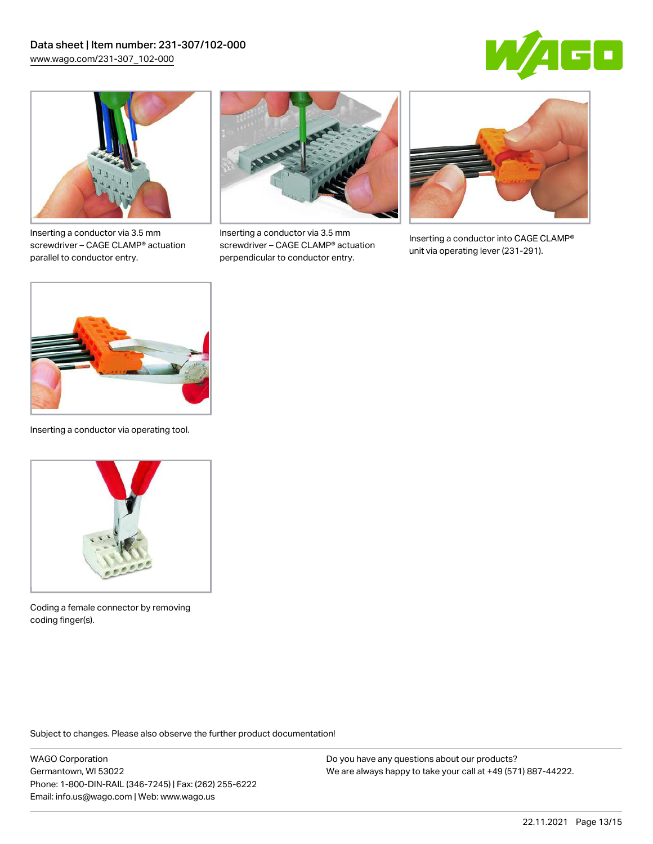



Inserting a conductor via 3.5 mm screwdriver – CAGE CLAMP® actuation parallel to conductor entry.



Inserting a conductor via 3.5 mm screwdriver – CAGE CLAMP® actuation perpendicular to conductor entry.



Inserting a conductor into CAGE CLAMP® unit via operating lever (231-291).



Inserting a conductor via operating tool.



Coding a female connector by removing coding finger(s).

Subject to changes. Please also observe the further product documentation!

WAGO Corporation Germantown, WI 53022 Phone: 1-800-DIN-RAIL (346-7245) | Fax: (262) 255-6222 Email: info.us@wago.com | Web: www.wago.us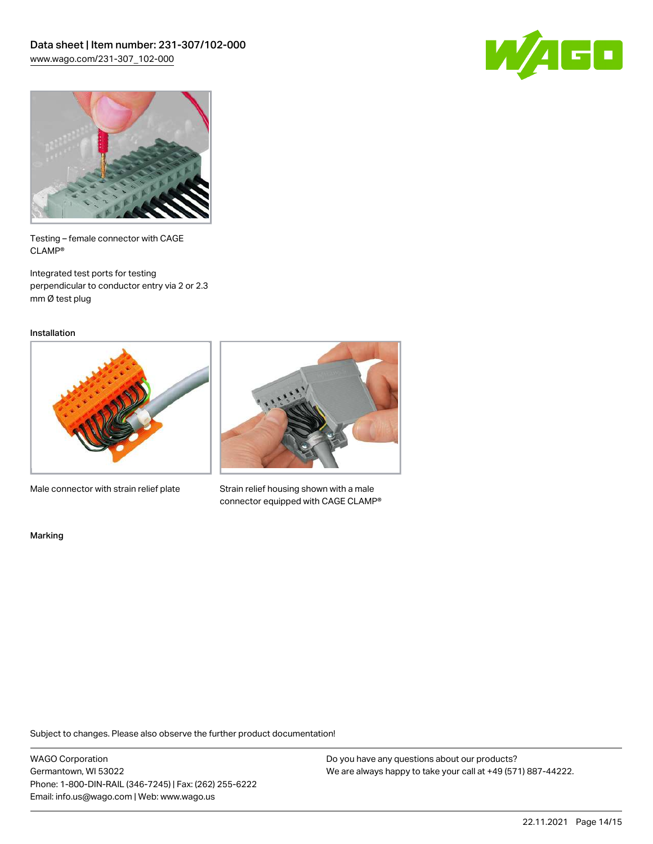



Testing – female connector with CAGE CLAMP®

Integrated test ports for testing perpendicular to conductor entry via 2 or 2.3 mm Ø test plug

Installation



Male connector with strain relief plate



Strain relief housing shown with a male connector equipped with CAGE CLAMP®

Marking

Subject to changes. Please also observe the further product documentation!

WAGO Corporation Germantown, WI 53022 Phone: 1-800-DIN-RAIL (346-7245) | Fax: (262) 255-6222 Email: info.us@wago.com | Web: www.wago.us